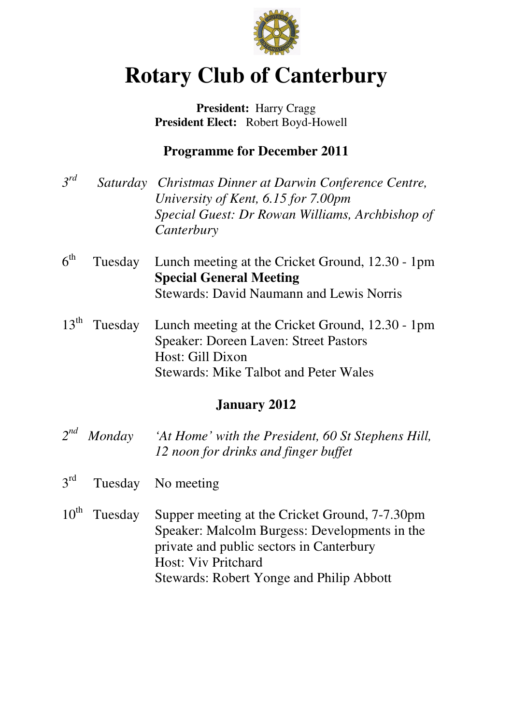

# **Rotary Club of Canterbury**

**President:** Harry Cragg  **President Elect:** Robert Boyd-Howell

# **Programme for December 2011**

- *3 Saturday Christmas Dinner at Darwin Conference Centre, University of Kent, 6.15 for 7.00pm Special Guest: Dr Rowan Williams, Archbishop of Canterbury*
- $6<sup>th</sup>$ Tuesday Lunch meeting at the Cricket Ground, 12.30 - 1pm **Special General Meeting**  Stewards: David Naumann and Lewis Norris
- $13^{\text{th}}$ Tuesday Lunch meeting at the Cricket Ground, 12.30 - 1pm Speaker: Doreen Laven: Street Pastors Host: Gill Dixon Stewards: Mike Talbot and Peter Wales

## **January 2012**

- $2^{nd}$ *nd Monday 'At Home' with the President, 60 St Stephens Hill, 12 noon for drinks and finger buffet*
- $2^{\text{rd}}$ Tuesday No meeting
- 10<sup>th</sup> Tuesday Supper meeting at the Cricket Ground, 7-7.30pm Speaker: Malcolm Burgess: Developments in the private and public sectors in Canterbury Host: Viv Pritchard Stewards: Robert Yonge and Philip Abbott